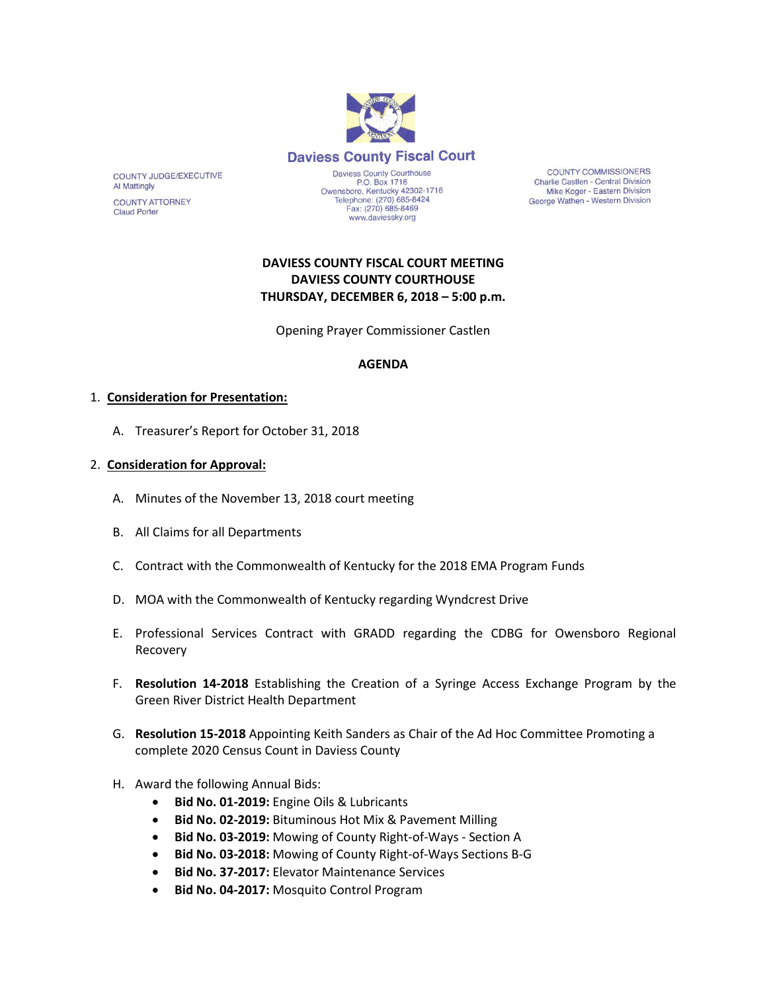

Fax: (270) 685-8469

www.daviessky.org

**COUNTY COMMISSIONERS** Charlie Castlen - Central Division Mike Koger - Eastern Division George Wathen - Western Division

# **DAVIESS COUNTY FISCAL COURT MEETING DAVIESS COUNTY COURTHOUSE THURSDAY, DECEMBER 6, 2018 – 5:00 p.m.**

Opening Prayer Commissioner Castlen

### **AGENDA**

#### 1. **Consideration for Presentation:**

A. Treasurer's Report for October 31, 2018

#### 2. **Consideration for Approval:**

- A. Minutes of the November 13, 2018 court meeting
- B. All Claims for all Departments
- C. Contract with the Commonwealth of Kentucky for the 2018 EMA Program Funds
- D. MOA with the Commonwealth of Kentucky regarding Wyndcrest Drive
- E. Professional Services Contract with GRADD regarding the CDBG for Owensboro Regional Recovery
- F. **Resolution 14-2018** Establishing the Creation of a Syringe Access Exchange Program by the Green River District Health Department
- G. **Resolution 15-2018** Appointing Keith Sanders as Chair of the Ad Hoc Committee Promoting a complete 2020 Census Count in Daviess County
- H. Award the following Annual Bids:
	- **Bid No. 01-2019:** Engine Oils & Lubricants
	- **Bid No. 02-2019:** Bituminous Hot Mix & Pavement Milling
	- **Bid No. 03-2019:** Mowing of County Right-of-Ways Section A
	- **Bid No. 03-2018:** Mowing of County Right-of-Ways Sections B-G
	- **Bid No. 37-2017:** Elevator Maintenance Services
	- **Bid No. 04-2017:** Mosquito Control Program

COUNTY JUDGE/EXECUTIVE **Al Mattingly** 

**COUNTY ATTORNEY Claud Porter**